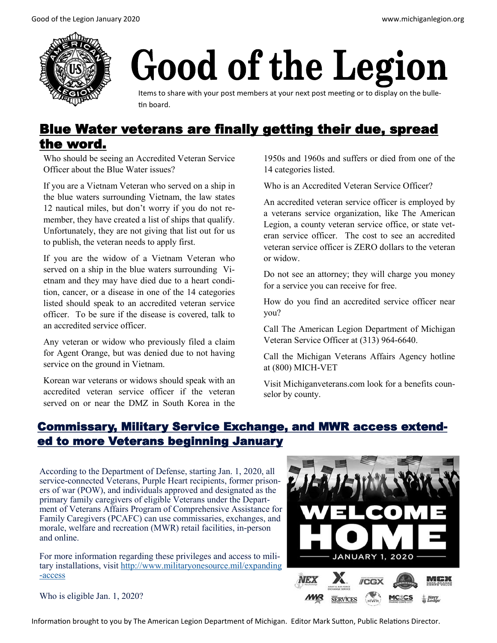

# Good of the Legion

Items to share with your post members at your next post meeting or to display on the bulletin board.

# Blue Water veterans are finally getting their due, spread the word.

Who should be seeing an Accredited Veteran Service Officer about the Blue Water issues?

If you are a Vietnam Veteran who served on a ship in the blue waters surrounding Vietnam, the law states 12 nautical miles, but don't worry if you do not remember, they have created a list of ships that qualify. Unfortunately, they are not giving that list out for us to publish, the veteran needs to apply first.

If you are the widow of a Vietnam Veteran who served on a ship in the blue waters surrounding Vietnam and they may have died due to a heart condition, cancer, or a disease in one of the 14 categories listed should speak to an accredited veteran service officer. To be sure if the disease is covered, talk to an accredited service officer.

Any veteran or widow who previously filed a claim for Agent Orange, but was denied due to not having service on the ground in Vietnam.

Korean war veterans or widows should speak with an accredited veteran service officer if the veteran served on or near the DMZ in South Korea in the 1950s and 1960s and suffers or died from one of the 14 categories listed.

Who is an Accredited Veteran Service Officer?

An accredited veteran service officer is employed by a veterans service organization, like The American Legion, a county veteran service office, or state veteran service officer. The cost to see an accredited veteran service officer is ZERO dollars to the veteran or widow.

Do not see an attorney; they will charge you money for a service you can receive for free.

How do you find an accredited service officer near you?

Call The American Legion Department of Michigan Veteran Service Officer at (313) 964-6640.

Call the Michigan Veterans Affairs Agency hotline at (800) MICH-VET

Visit Michiganveterans.com look for a benefits counselor by county.

# Commissary, Military Service Exchange, and MWR access extended to more Veterans beginning January

According to the Department of Defense, starting Jan. 1, 2020, all service-connected Veterans, Purple Heart recipients, former prisoners of war (POW), and individuals approved and designated as the primary family caregivers of eligible Veterans under the Department of Veterans Affairs Program of Comprehensive Assistance for Family Caregivers (PCAFC) can use commissaries, exchanges, and morale, welfare and recreation (MWR) retail facilities, in-person and online.

For more information regarding these privileges and access to military installations, visit [http://www.militaryonesource.mil/expanding](http://www.militaryonesource.mil/expanding-access) [-access](http://www.militaryonesource.mil/expanding-access)

Who is eligible Jan. 1, 2020?



Information brought to you by The American Legion Department of Michigan. Editor Mark Sutton, Public Relations Director.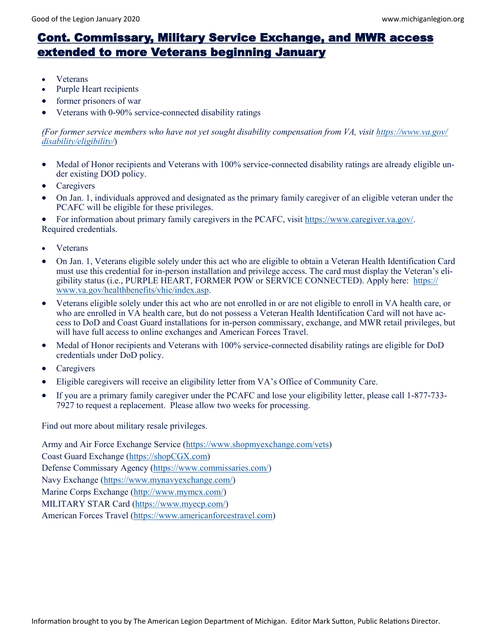# Cont. Commissary, Military Service Exchange, and MWR access extended to more Veterans beginning January

- **Veterans**
- Purple Heart recipients
- former prisoners of war
- Veterans with 0-90% service-connected disability ratings

#### *(For former service members who have not yet sought disability compensation from VA, visit [https://www.va.gov/](https://www.va.gov/disability/eligibility/) [disability/eligibility/](https://www.va.gov/disability/eligibility/)*)

- Medal of Honor recipients and Veterans with 100% service-connected disability ratings are already eligible under existing DOD policy.
- **Caregivers**
- On Jan. 1, individuals approved and designated as the primary family caregiver of an eligible veteran under the PCAFC will be eligible for these privileges.

• For information about primary family caregivers in the PCAFC, visit [https://www.caregiver.va.gov/.](https://www.caregiver.va.gov/) Required credentials.

- Veterans
- On Jan. 1, Veterans eligible solely under this act who are eligible to obtain a Veteran Health Identification Card must use this credential for in-person installation and privilege access. The card must display the Veteran's eligibility status (i.e., PURPLE HEART, FORMER POW or SERVICE CONNECTED). Apply here: [https://](https://www.va.gov/healthbenefits/vhic/index.asp) [www.va.gov/healthbenefits/vhic/index.asp.](https://www.va.gov/healthbenefits/vhic/index.asp)
- Veterans eligible solely under this act who are not enrolled in or are not eligible to enroll in VA health care, or who are enrolled in VA health care, but do not possess a Veteran Health Identification Card will not have access to DoD and Coast Guard installations for in-person commissary, exchange, and MWR retail privileges, but will have full access to online exchanges and American Forces Travel.
- Medal of Honor recipients and Veterans with 100% service-connected disability ratings are eligible for DoD credentials under DoD policy.
- **Caregivers**
- Eligible caregivers will receive an eligibility letter from VA's Office of Community Care.
- If you are a primary family caregiver under the PCAFC and lose your eligibility letter, please call 1-877-733- 7927 to request a replacement. Please allow two weeks for processing.

Find out more about military resale privileges.

Army and Air Force Exchange Service [\(https://www.shopmyexchange.com/vets\)](https://www.shopmyexchange.com/vets) Coast Guard Exchange [\(https://shopCGX.com\)](https://shopcgx.com/) Defense Commissary Agency [\(https://www.commissaries.com/\)](https://www.commissaries.com/) Navy Exchange ([https://www.mynavyexchange.com/\)](https://www.mynavyexchange.com/) Marine Corps Exchange ([http://www.mymcx.com/\)](http://www.mymcx.com/) MILITARY STAR Card ([https://www.myecp.com/\)](https://www.myecp.com/) American Forces Travel ([https://www.americanforcestravel.com\)](https://www.americanforcestravel.com/)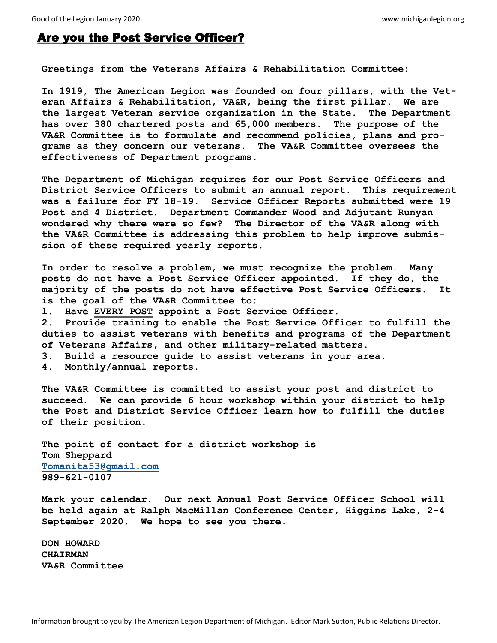## Are you the Post Service Officer?

**Greetings from the Veterans Affairs & Rehabilitation Committee:**

**In 1919, The American Legion was founded on four pillars, with the Veteran Affairs & Rehabilitation, VA&R, being the first pillar. We are the largest Veteran service organization in the State. The Department has over 380 chartered posts and 65,000 members. The purpose of the VA&R Committee is to formulate and recommend policies, plans and programs as they concern our veterans. The VA&R Committee oversees the effectiveness of Department programs.** 

**The Department of Michigan requires for our Post Service Officers and District Service Officers to submit an annual report. This requirement was a failure for FY 18-19. Service Officer Reports submitted were 19 Post and 4 District. Department Commander Wood and Adjutant Runyan wondered why there were so few? The Director of the VA&R along with the VA&R Committee is addressing this problem to help improve submission of these required yearly reports.**

**In order to resolve a problem, we must recognize the problem. Many posts do not have a Post Service Officer appointed. If they do, the majority of the posts do not have effective Post Service Officers. It is the goal of the VA&R Committee to:** 

**1. Have EVERY POST appoint a Post Service Officer.**

**2. Provide training to enable the Post Service Officer to fulfill the duties to assist veterans with benefits and programs of the Department of Veterans Affairs, and other military-related matters.**

- **3. Build a resource guide to assist veterans in your area.**
- **4. Monthly/annual reports.**

**The VA&R Committee is committed to assist your post and district to succeed. We can provide 6 hour workshop within your district to help the Post and District Service Officer learn how to fulfill the duties of their position.** 

**The point of contact for a district workshop is Tom Sheppard [Tomanita53@gmail.com](mailto:Tomanita53@gmail.com) 989-621-0107** 

**Mark your calendar. Our next Annual Post Service Officer School will be held again at Ralph MacMillan Conference Center, Higgins Lake, 2-4 September 2020. We hope to see you there.**

**DON HOWARD CHAIRMAN VA&R Committee**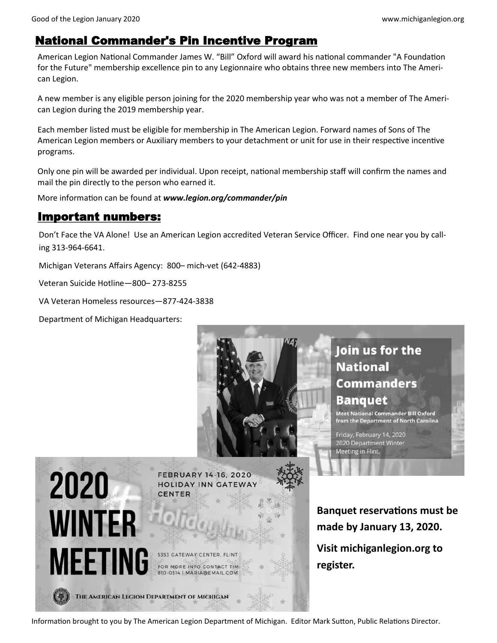## National Commander's Pin Incentive Program

American Legion National Commander James W. "Bill" Oxford will award his national commander "A Foundation for the Future" membership excellence pin to any Legionnaire who obtains three new members into The American Legion.

A new member is any eligible person joining for the 2020 membership year who was not a member of The American Legion during the 2019 membership year.

Each member listed must be eligible for membership in The American Legion. Forward names of Sons of The American Legion members or Auxiliary members to your detachment or unit for use in their respective incentive programs.

Only one pin will be awarded per individual. Upon receipt, national membership staff will confirm the names and mail the pin directly to the person who earned it.

More information can be found at *www.legion.org/commander/pin* 

## Important numbers:

Don't Face the VA Alone! Use an American Legion accredited Veteran Service Officer. Find one near you by calling 313-964-6641.

Michigan Veterans Affairs Agency: 800– mich-vet (642-4883)

Veteran Suicide Hotline—800– 273-8255

VA Veteran Homeless resources—877-424-3838

Department of Michigan Headquarters:



Information brought to you by The American Legion Department of Michigan. Editor Mark Sutton, Public Relations Director.